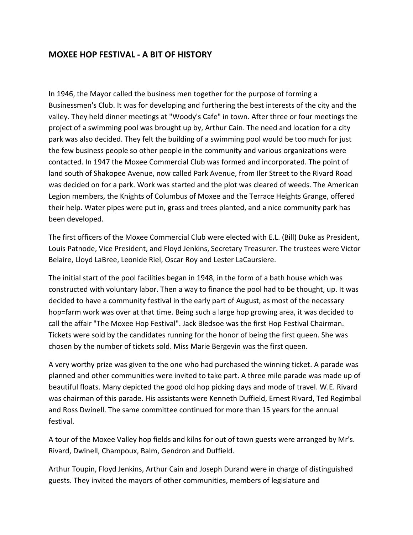## **MOXEE HOP FESTIVAL - A BIT OF HISTORY**

In 1946, the Mayor called the business men together for the purpose of forming a Businessmen's Club. It was for developing and furthering the best interests of the city and the valley. They held dinner meetings at "Woody's Cafe" in town. After three or four meetings the project of a swimming pool was brought up by, Arthur Cain. The need and location for a city park was also decided. They felt the building of a swimming pool would be too much for just the few business people so other people in the community and various organizations were contacted. In 1947 the Moxee Commercial Club was formed and incorporated. The point of land south of Shakopee Avenue, now called Park Avenue, from Iler Street to the Rivard Road was decided on for a park. Work was started and the plot was cleared of weeds. The American Legion members, the Knights of Columbus of Moxee and the Terrace Heights Grange, offered their help. Water pipes were put in, grass and trees planted, and a nice community park has been developed.

The first officers of the Moxee Commercial Club were elected with E.L. (Bill) Duke as President, Louis Patnode, Vice President, and Floyd Jenkins, Secretary Treasurer. The trustees were Victor Belaire, Lloyd LaBree, Leonide Riel, Oscar Roy and Lester LaCaursiere.

The initial start of the pool facilities began in 1948, in the form of a bath house which was constructed with voluntary labor. Then a way to finance the pool had to be thought, up. It was decided to have a community festival in the early part of August, as most of the necessary hop=farm work was over at that time. Being such a large hop growing area, it was decided to call the affair "The Moxee Hop Festival". Jack Bledsoe was the first Hop Festival Chairman. Tickets were sold by the candidates running for the honor of being the first queen. She was chosen by the number of tickets sold. Miss Marie Bergevin was the first queen.

A very worthy prize was given to the one who had purchased the winning ticket. A parade was planned and other communities were invited to take part. A three mile parade was made up of beautiful floats. Many depicted the good old hop picking days and mode of travel. W.E. Rivard was chairman of this parade. His assistants were Kenneth Duffield, Ernest Rivard, Ted Regimbal and Ross Dwinell. The same committee continued for more than 15 years for the annual festival.

A tour of the Moxee Valley hop fields and kilns for out of town guests were arranged by Mr's. Rivard, Dwinell, Champoux, Balm, Gendron and Duffield.

Arthur Toupin, Floyd Jenkins, Arthur Cain and Joseph Durand were in charge of distinguished guests. They invited the mayors of other communities, members of legislature and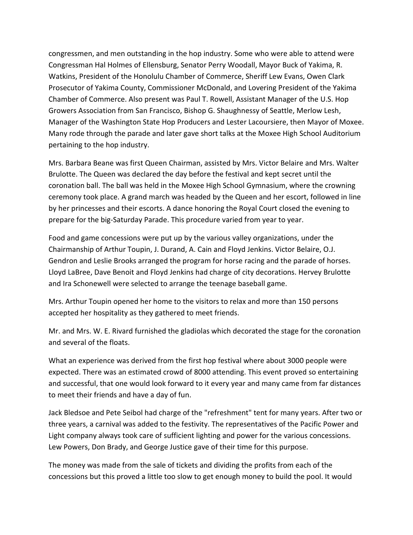congressmen, and men outstanding in the hop industry. Some who were able to attend were Congressman Hal Holmes of Ellensburg, Senator Perry Woodall, Mayor Buck of Yakima, R. Watkins, President of the Honolulu Chamber of Commerce, Sheriff Lew Evans, Owen Clark Prosecutor of Yakima County, Commissioner McDonald, and Lovering President of the Yakima Chamber of Commerce. Also present was Paul T. Rowell, Assistant Manager of the U.S. Hop Growers Association from San Francisco, Bishop G. Shaughnessy of Seattle, Merlow Lesh, Manager of the Washington State Hop Producers and Lester Lacoursiere, then Mayor of Moxee. Many rode through the parade and later gave short talks at the Moxee High School Auditorium pertaining to the hop industry.

Mrs. Barbara Beane was first Queen Chairman, assisted by Mrs. Victor Belaire and Mrs. Walter Brulotte. The Queen was declared the day before the festival and kept secret until the coronation ball. The ball was held in the Moxee High School Gymnasium, where the crowning ceremony took place. A grand march was headed by the Queen and her escort, followed in line by her princesses and their escorts. A dance honoring the Royal Court closed the evening to prepare for the big-Saturday Parade. This procedure varied from year to year.

Food and game concessions were put up by the various valley organizations, under the Chairmanship of Arthur Toupin, J. Durand, A. Cain and Floyd Jenkins. Victor Belaire, O.J. Gendron and Leslie Brooks arranged the program for horse racing and the parade of horses. Lloyd LaBree, Dave Benoit and Floyd Jenkins had charge of city decorations. Hervey Brulotte and Ira Schonewell were selected to arrange the teenage baseball game.

Mrs. Arthur Toupin opened her home to the visitors to relax and more than 150 persons accepted her hospitality as they gathered to meet friends.

Mr. and Mrs. W. E. Rivard furnished the gladiolas which decorated the stage for the coronation and several of the floats.

What an experience was derived from the first hop festival where about 3000 people were expected. There was an estimated crowd of 8000 attending. This event proved so entertaining and successful, that one would look forward to it every year and many came from far distances to meet their friends and have a day of fun.

Jack Bledsoe and Pete Seibol had charge of the "refreshment" tent for many years. After two or three years, a carnival was added to the festivity. The representatives of the Pacific Power and Light company always took care of sufficient lighting and power for the various concessions. Lew Powers, Don Brady, and George Justice gave of their time for this purpose.

The money was made from the sale of tickets and dividing the profits from each of the concessions but this proved a little too slow to get enough money to build the pool. It would